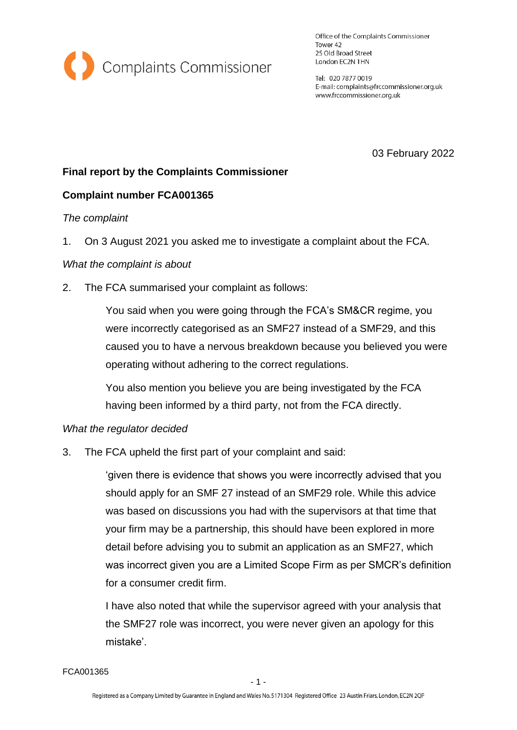

Office of the Complaints Commissioner Tower 42 25 Old Broad Street London EC2N 1HN

Tel: 020 7877 0019 E-mail: complaints@frccommissioner.org.uk www.frccommissioner.org.uk

03 February 2022

# **Final report by the Complaints Commissioner**

### **Complaint number FCA001365**

#### *The complaint*

1. On 3 August 2021 you asked me to investigate a complaint about the FCA.

#### *What the complaint is about*

2. The FCA summarised your complaint as follows:

You said when you were going through the FCA's SM&CR regime, you were incorrectly categorised as an SMF27 instead of a SMF29, and this caused you to have a nervous breakdown because you believed you were operating without adhering to the correct regulations.

You also mention you believe you are being investigated by the FCA having been informed by a third party, not from the FCA directly.

#### *What the regulator decided*

3. The FCA upheld the first part of your complaint and said:

'given there is evidence that shows you were incorrectly advised that you should apply for an SMF 27 instead of an SMF29 role. While this advice was based on discussions you had with the supervisors at that time that your firm may be a partnership, this should have been explored in more detail before advising you to submit an application as an SMF27, which was incorrect given you are a Limited Scope Firm as per SMCR's definition for a consumer credit firm.

I have also noted that while the supervisor agreed with your analysis that the SMF27 role was incorrect, you were never given an apology for this mistake'.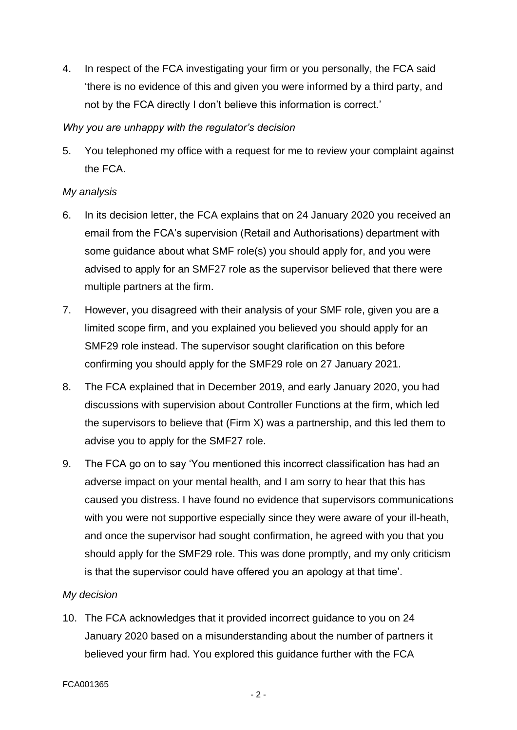4. In respect of the FCA investigating your firm or you personally, the FCA said 'there is no evidence of this and given you were informed by a third party, and not by the FCA directly I don't believe this information is correct.'

### *Why you are unhappy with the regulator's decision*

5. You telephoned my office with a request for me to review your complaint against the FCA.

# *My analysis*

- 6. In its decision letter, the FCA explains that on 24 January 2020 you received an email from the FCA's supervision (Retail and Authorisations) department with some guidance about what SMF role(s) you should apply for, and you were advised to apply for an SMF27 role as the supervisor believed that there were multiple partners at the firm.
- 7. However, you disagreed with their analysis of your SMF role, given you are a limited scope firm, and you explained you believed you should apply for an SMF29 role instead. The supervisor sought clarification on this before confirming you should apply for the SMF29 role on 27 January 2021.
- 8. The FCA explained that in December 2019, and early January 2020, you had discussions with supervision about Controller Functions at the firm, which led the supervisors to believe that (Firm X) was a partnership, and this led them to advise you to apply for the SMF27 role.
- 9. The FCA go on to say 'You mentioned this incorrect classification has had an adverse impact on your mental health, and I am sorry to hear that this has caused you distress. I have found no evidence that supervisors communications with you were not supportive especially since they were aware of your ill-heath, and once the supervisor had sought confirmation, he agreed with you that you should apply for the SMF29 role. This was done promptly, and my only criticism is that the supervisor could have offered you an apology at that time'.

# *My decision*

10. The FCA acknowledges that it provided incorrect guidance to you on 24 January 2020 based on a misunderstanding about the number of partners it believed your firm had. You explored this guidance further with the FCA